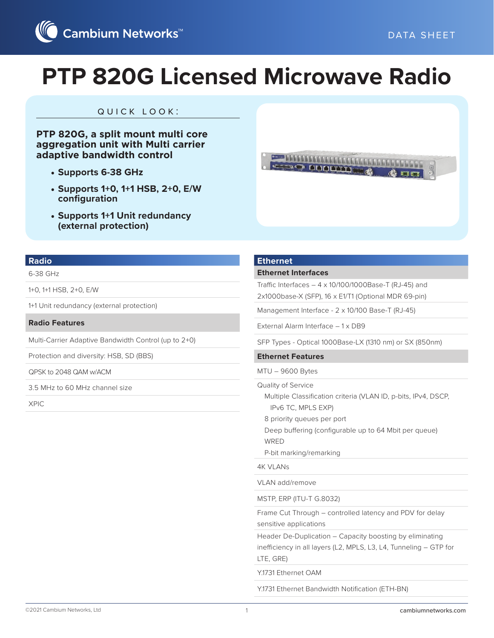

### quick look:

**PTP 820G, a split mount multi core aggregation unit with Multi carrier adaptive bandwidth control**

- **• Supports 6-38 GHz**
- **• Supports 1+0, 1+1 HSB, 2+0, E/W configuration**
- **• Supports 1+1 Unit redundancy (external protection)**



#### **Radio**

#### 6-38 GHz

1+0, 1+1 HSB, 2+0, E/W

1+1 Unit redundancy (external protection)

**Radio Features**

Multi-Carrier Adaptive Bandwidth Control (up to 2+0)

Protection and diversity: HSB, SD (BBS)

QPSK to 2048 QAM w/ACM

3.5 MHz to 60 MHz channel size

XPIC

#### **Ethernet**

#### **Ethernet Interfaces**

Traffic Interfaces  $-4 \times 10/100/1000B$ ase-T (RJ-45) and 2x1000base-X (SFP), 16 x E1/T1 (Optional MDR 69-pin)

Management Interface - 2 x 10/100 Base-T (RJ-45)

External Alarm Interface – 1 x DB9

SFP Types - Optical 1000Base-LX (1310 nm) or SX (850nm)

#### **Ethernet Features**

MTU – 9600 Bytes

Quality of Service

Multiple Classification criteria (VLAN ID, p-bits, IPv4, DSCP,

IPv6 TC, MPLS EXP)

8 priority queues per port

Deep buffering (configurable up to 64 Mbit per queue)

WRED

P-bit marking/remarking

4K VLANs

VLAN add/remove

MSTP, ERP (ITU-T G.8032)

Frame Cut Through – controlled latency and PDV for delay sensitive applications

Header De-Duplication – Capacity boosting by eliminating inefficiency in all layers (L2, MPLS, L3, L4, Tunneling – GTP for LTE, GRE)

Y.1731 Ethernet OAM

Y.1731 Ethernet Bandwidth Notification (ETH-BN)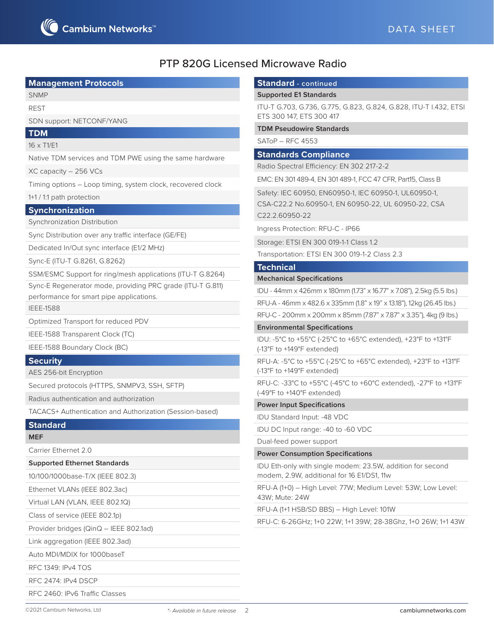#### **Management Protocols**

SNMP

REST

SDN support: NETCONF/YANG

**TDM**

16 x T1/E1

Native TDM services and TDM PWE using the same hardware

XC capacity – 256 VCs

Timing options – Loop timing, system clock, recovered clock

#### 1+1 / 1:1 path protection

**Synchronization**

Synchronization Distribution

Sync Distribution over any traffic interface (GE/FE)

Dedicated In/Out sync interface (E1/2 MHz)

Sync-E (ITU-T G.8261, G.8262)

SSM/ESMC Support for ring/mesh applications (ITU-T G.8264)

Sync-E Regenerator mode, providing PRC grade (ITU-T G.811)

performance for smart pipe applications.

IEEE-1588

Optimized Transport for reduced PDV

IEEE-1588 Transparent Clock (TC)

IEEE-1588 Boundary Clock (BC)

#### **Security**

AES 256-bit Encryption

Secured protocols (HTTPS, SNMPV3, SSH, SFTP)

Radius authentication and authorization

TACACS+ Authentication and Authorization (Session-based)

### **Standard**

### **MEF**

Carrier Ethernet 2.0

#### **Supported Ethernet Standards**

10/100/1000base-T/X (IEEE 802.3)

Ethernet VLANs (IEEE 802.3ac)

Virtual LAN (VLAN, IEEE 802.1Q)

Class of service (IEEE 802.1p)

Provider bridges (QinQ – IEEE 802.1ad)

Link aggregation (IEEE 802.3ad)

Auto MDI/MDIX for 1000baseT

RFC 1349: IPv4 TOS

RFC 2474: IPv4 DSCP

RFC 2460: IPv6 Traffic Classes

### **Standard - continued**

#### **Supported E1 Standards**

ITU-T G.703, G.736, G.775, G.823, G.824, G.828, ITU-T I.432, ETSI ETS 300 147, ETS 300 417

#### **TDM Pseudowire Standards**

SAToP – RFC 4553

#### **Standards Compliance**

Radio Spectral Efficiency: EN 302 217-2-2

EMC: EN 301 489-4, EN 301 489-1, FCC 47 CFR, Part15, Class B

Safety: IEC 60950, EN60950-1, IEC 60950-1, UL60950-1,

CSA-C22.2 No.60950-1, EN 60950-22, UL 60950-22, CSA C22.2.60950-22

Ingress Protection: RFU-C - IP66

Storage: ETSI EN 300 019-1-1 Class 1.2

Transportation: ETSI EN 300 019-1-2 Class 2.3

#### **Technical**

#### **Mechanical Specifications**

IDU - 44mm x 426mm x 180mm (1.73" x 16.77" x 7.08"), 2.5kg (5.5 lbs.)

RFU-A - 46mm x 482.6 x 335mm (1.8" x 19" x 13.18"), 12kg (26.45 lbs.)

RFU-C - 200mm x 200mm x 85mm (7.87" x 7.87" x 3.35"), 4kg (9 lbs.)

#### **Environmental Specifications**

IDU: -5°C to +55°C (-25°C to +65°C extended), +23°F to +131°F (-13°F to +149°F extended)

RFU-A: -5°C to +55°C (-25°C to +65°C extended), +23°F to +131°F (-13°F to +149°F extended)

RFU-C: -33°C to +55°C (-45°C to +60°C extended), -27°F to +131°F (-49°F to +140°F extended)

#### **Power Input Specifications**

IDU Standard Input: -48 VDC

IDU DC Input range: -40 to -60 VDC

Dual-feed power support

#### **Power Consumption Specifications**

IDU Eth-only with single modem: 23.5W, addition for second modem, 2.9W, additional for 16 E1/DS1, 11w

RFU-A (1+0) – High Level: 77W; Medium Level: 53W; Low Level: 43W; Mute: 24W

RFU-A (1+1 HSB/SD BBS) – High Level: 101W

RFU-C: 6-26GHz; 1+0 22W; 1+1 39W; 28-38Ghz, 1+0 26W; 1+1 43W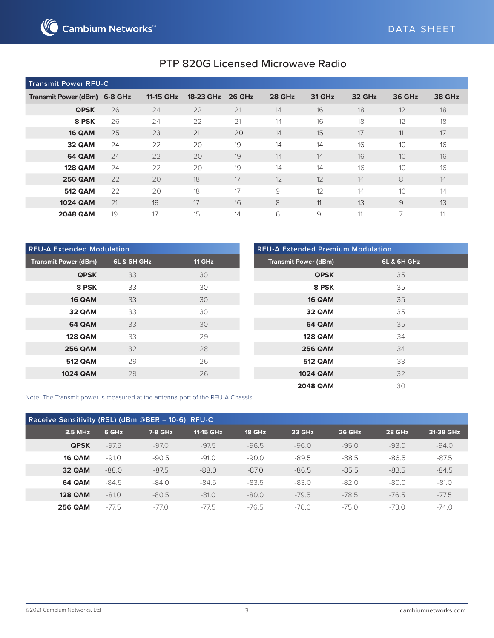

| <b>Transmit Power RFU-C</b>  |    |           |           |               |        |               |        |                          |               |
|------------------------------|----|-----------|-----------|---------------|--------|---------------|--------|--------------------------|---------------|
| Transmit Power (dBm) 6-8 GHz |    | 11-15 GHz | 18-23 GHz | <b>26 GHz</b> | 28 GHz | <b>31 GHz</b> | 32 GHz | <b>36 GHz</b>            | <b>38 GHz</b> |
| <b>QPSK</b>                  | 26 | 24        | 22        | 21            | 14     | 16            | 18     | 12                       | 18            |
| 8 PSK                        | 26 | 24        | 22        | 21            | 14     | 16            | 18     | 12                       | 18            |
| 16 QAM                       | 25 | 23        | 21        | 20            | 14     | 15            | 17     | 11                       | 17            |
| 32 QAM                       | 24 | 22        | 20        | 19            | 14     | 14            | 16     | 10                       | 16            |
| <b>64 QAM</b>                | 24 | 22        | 20        | 19            | 14     | 14            | 16     | 10                       | 16            |
| <b>128 QAM</b>               | 24 | 22        | 20        | 19            | 14     | 14            | 16     | 10                       | 16            |
| <b>256 QAM</b>               | 22 | 20        | 18        | 17            | 12     | 12            | 14     | 8                        | 14            |
| <b>512 QAM</b>               | 22 | 20        | 18        | 17            | 9      | 12            | 14     | 10                       | 14            |
| <b>1024 QAM</b>              | 21 | 19        | 17        | 16            | 8      | 11            | 13     | 9                        | 13            |
| <b>2048 QAM</b>              | 19 | 17        | 15        | 14            | 6      | 9             | 11     | $\overline{\phantom{a}}$ | 11            |

| <b>RFU-A Extended Modulation</b> |             |               | <b>RFU-A Extended Premium Modulation</b> |                        |
|----------------------------------|-------------|---------------|------------------------------------------|------------------------|
| <b>Transmit Power (dBm)</b>      | 6L & 6H GHz | <b>11 GHz</b> | <b>Transmit Power (dBm)</b>              | <b>6L &amp; 6H GHz</b> |
| <b>QPSK</b>                      | 33          | 30            | <b>QPSK</b>                              | 35                     |
| 8 PSK                            | 33          | 30            | 8 PSK                                    | 35                     |
| 16 QAM                           | 33          | 30            | <b>16 QAM</b>                            | 35                     |
| 32 QAM                           | 33          | 30            | 32 QAM                                   | 35                     |
| <b>64 QAM</b>                    | 33          | 30            | 64 QAM                                   | 35                     |
| <b>128 QAM</b>                   | 33          | 29            | <b>128 QAM</b>                           | 34                     |
| <b>256 QAM</b>                   | 32          | 28            | <b>256 QAM</b>                           | 34                     |
| <b>512 QAM</b>                   | 29          | 26            | <b>512 QAM</b>                           | 33                     |
| <b>1024 QAM</b>                  | 29          | 26            | <b>1024 QAM</b>                          | 32                     |
|                                  |             |               | <b>2048 QAM</b>                          | 30                     |

Note: The Transmit power is measured at the antenna port of the RFU-A Chassis

| Receive Sensitivity (RSL) (dBm @BER = 10-6) RFU-C |         |         |           |         |         |               |               |           |
|---------------------------------------------------|---------|---------|-----------|---------|---------|---------------|---------------|-----------|
| 3.5 MHz                                           | 6 GHz   | 7-8 GHz | 11-15 GHz | 18 GHz  | 23 GHz  | <b>26 GHz</b> | <b>28 GHz</b> | 31-38 GHz |
| <b>QPSK</b>                                       | $-97.5$ | $-97.0$ | $-97.5$   | $-96.5$ | $-96.0$ | $-95.0$       | $-93.0$       | $-94.0$   |
| <b>16 QAM</b>                                     | $-91.0$ | $-90.5$ | $-91.0$   | $-90.0$ | $-89.5$ | $-88.5$       | $-86.5$       | $-87.5$   |
| 32 QAM                                            | $-88.0$ | $-87.5$ | $-88.0$   | $-87.0$ | $-86.5$ | $-85.5$       | $-83.5$       | $-84.5$   |
| <b>64 QAM</b>                                     | $-84.5$ | $-84.0$ | $-84.5$   | $-83.5$ | $-83.0$ | $-82.0$       | $-80.0$       | $-81.0$   |
| <b>128 QAM</b>                                    | $-81.0$ | $-80.5$ | $-81.0$   | $-80.0$ | $-79.5$ | $-78.5$       | $-76.5$       | $-77.5$   |
| <b>256 QAM</b>                                    | $-77.5$ | $-77.0$ | $-77.5$   | $-76.5$ | $-76.0$ | $-75.0$       | $-73.0$       | $-740$    |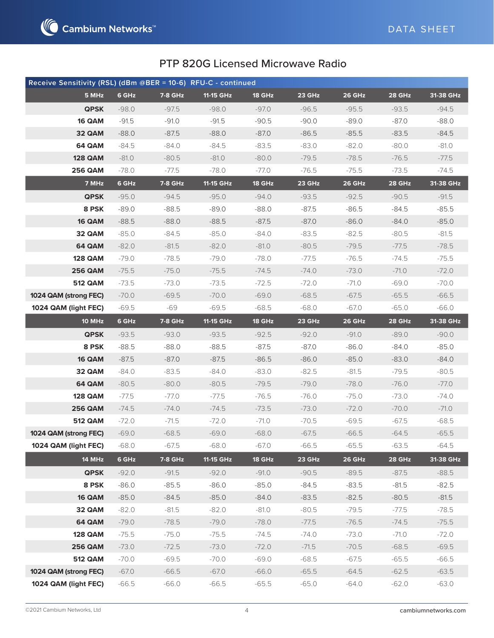

| Receive Sensitivity (RSL) (dBm @BER = 10-6) RFU-C - continued |         |                |           |         |         |               |         |           |
|---------------------------------------------------------------|---------|----------------|-----------|---------|---------|---------------|---------|-----------|
| 5 MHz                                                         | 6 GHz   | 7-8 GHz        | 11-15 GHz | 18 GHz  | 23 GHz  | 26 GHz        | 28 GHz  | 31-38 GHz |
| <b>QPSK</b>                                                   | $-98.0$ | $-97.5$        | $-98.0$   | $-97.0$ | $-96.5$ | $-95.5$       | $-93.5$ | $-94.5$   |
| 16 QAM                                                        | $-91.5$ | $-91.0$        | $-91.5$   | $-90.5$ | $-90.0$ | $-89.0$       | $-87.0$ | $-88.0$   |
| 32 QAM                                                        | $-88.0$ | $-87.5$        | $-88.0$   | $-87.0$ | $-86.5$ | $-85.5$       | $-83.5$ | $-84.5$   |
| <b>64 QAM</b>                                                 | $-84.5$ | -84.0          | $-84.5$   | $-83.5$ | $-83.0$ | $-82.0$       | $-80.0$ | -81.0     |
| <b>128 QAM</b>                                                | $-81.0$ | $-80.5$        | $-81.0$   | $-80.0$ | $-79.5$ | $-78.5$       | $-76.5$ | $-77.5$   |
| <b>256 QAM</b>                                                | $-78.0$ | -77.5          | $-78.0$   | -77.0   | $-76.5$ | $-75.5$       | $-73.5$ | -74.5     |
| 7 MHz                                                         | 6 GHz   | 7-8 GHz        | 11-15 GHz | 18 GHz  | 23 GHz  | <b>26 GHz</b> | 28 GHz  | 31-38 GHz |
| <b>QPSK</b>                                                   | $-95.0$ | $-94.5$        | $-95.0$   | $-94.0$ | $-93.5$ | $-92.5$       | $-90.5$ | $-91.5$   |
| 8 PSK                                                         | $-89.0$ | $-88.5$        | $-89.0$   | $-88.0$ | $-87.5$ | $-86.5$       | $-84.5$ | $-85.5$   |
| 16 QAM                                                        | $-88.5$ | $-88.0$        | $-88.5$   | $-87.5$ | $-87.0$ | $-86.0$       | $-84.0$ | $-85.0$   |
| 32 QAM                                                        | $-85.0$ | $-84.5$        | $-85.0$   | $-84.0$ | $-83.5$ | $-82.5$       | $-80.5$ | $-81.5$   |
| 64 QAM                                                        | $-82.0$ | $-81.5$        | $-82.0$   | $-81.0$ | $-80.5$ | $-79.5$       | $-77.5$ | $-78.5$   |
| <b>128 QAM</b>                                                | $-79.0$ | -78.5          | $-79.0$   | $-78.0$ | -77.5   | $-76.5$       | $-74.5$ | $-75.5$   |
| <b>256 QAM</b>                                                | $-75.5$ | $-75.0$        | $-75.5$   | $-74.5$ | $-74.0$ | $-73.0$       | $-71.0$ | $-72.0$   |
| <b>512 QAM</b>                                                | $-73.5$ | -73.0          | $-73.5$   | $-72.5$ | $-72.0$ | -71.0         | $-69.0$ | $-70.0$   |
| 1024 QAM (strong FEC)                                         | $-70.0$ | $-69.5$        | $-70.0$   | $-69.0$ | $-68.5$ | $-67.5$       | $-65.5$ | $-66.5$   |
| 1024 QAM (light FEC)                                          | $-69.5$ | -69            | $-69.5$   | $-68.5$ | $-68.0$ | -67.0         | $-65.0$ | $-66.0$   |
| <b>10 MHz</b>                                                 | 6 GHz   | <b>7-8 GHz</b> | 11-15 GHz | 18 GHz  | 23 GHz  | <b>26 GHz</b> | 28 GHz  | 31-38 GHz |
| <b>QPSK</b>                                                   | $-93.5$ | $-93.0$        | $-93.5$   | $-92.5$ | $-92.0$ | $-91.0$       | $-89.0$ | $-90.0$   |
| 8 PSK                                                         | $-88.5$ | -88.0          | -88.5     | -87.5   | -87.0   | -86.0         | -84.0   | $-85.0$   |
| 16 QAM                                                        | $-87.5$ | $-87.0$        | $-87.5$   | $-86.5$ | $-86.0$ | $-85.0$       | $-83.0$ | $-84.0$   |
| 32 QAM                                                        | $-84.0$ | $-83.5$        | -84.0     | $-83.0$ | $-82.5$ | $-81.5$       | $-79.5$ | $-80.5$   |
| 64 QAM                                                        | $-80.5$ | $-80.0$        | $-80.5$   | $-79.5$ | $-79.0$ | $-78.0$       | $-76.0$ | $-77.0$   |
| <b>128 QAM</b>                                                | $-77.5$ | -77.0          | $-77.5$   | $-76.5$ | -76.0   | $-75.0$       | $-73.0$ | -74.0     |
| <b>256 QAM</b>                                                | $-74.5$ | -74.0          | $-74.5$   | $-73.5$ | $-73.0$ | $-72.0$       | $-70.0$ | $-71.0$   |
| <b>512 QAM</b>                                                | $-72.0$ | $-71.5$        | $-72.0$   | -71.0   | $-70.5$ | $-69.5$       | $-67.5$ | $-68.5$   |
| 1024 QAM (strong FEC)                                         | $-69.0$ | $-68.5$        | $-69.0$   | $-68.0$ | $-67.5$ | $-66.5$       | $-64.5$ | $-65.5$   |
| 1024 QAM (light FEC)                                          | $-68.0$ | $-67.5$        | $-68.0$   | $-67.0$ | $-66.5$ | $-65.5$       | $-63.5$ | $-64.5$   |
| 14 MHz                                                        | 6 GHz   | 7-8 GHz        | 11-15 GHz | 18 GHz  | 23 GHz  | <b>26 GHz</b> | 28 GHz  | 31-38 GHz |
| <b>QPSK</b>                                                   | $-92.0$ | $-91.5$        | $-92.0$   | $-91.0$ | $-90.5$ | $-89.5$       | $-87.5$ | $-88.5$   |
| 8 PSK                                                         | $-86.0$ | $-85.5$        | $-86.0$   | $-85.0$ | $-84.5$ | $-83.5$       | $-81.5$ | $-82.5$   |
| 16 QAM                                                        | $-85.0$ | $-84.5$        | $-85.0$   | $-84.0$ | $-83.5$ | $-82.5$       | $-80.5$ | $-81.5$   |
| 32 QAM                                                        | $-82.0$ | $-81.5$        | $-82.0$   | $-81.0$ | $-80.5$ | $-79.5$       | $-77.5$ | $-78.5$   |
| 64 QAM                                                        | $-79.0$ | $-78.5$        | $-79.0$   | $-78.0$ | $-77.5$ | $-76.5$       | $-74.5$ | $-75.5$   |
| <b>128 QAM</b>                                                | $-75.5$ | $-75.0$        | $-75.5$   | $-74.5$ | $-74.0$ | $-73.0$       | $-71.0$ | $-72.0$   |
| <b>256 QAM</b>                                                | $-73.0$ | $-72.5$        | $-73.0$   | $-72.0$ | $-71.5$ | $-70.5$       | $-68.5$ | $-69.5$   |
| <b>512 QAM</b>                                                | $-70.0$ | $-69.5$        | $-70.0$   | $-69.0$ | $-68.5$ | $-67.5$       | $-65.5$ | $-66.5$   |
| 1024 QAM (strong FEC)                                         | $-67.0$ | $-66.5$        | $-67.0$   | $-66.0$ | $-65.5$ | $-64.5$       | $-62.5$ | $-63.5$   |
| 1024 QAM (light FEC)                                          | $-66.5$ | $-66.0$        | $-66.5$   | $-65.5$ | $-65.0$ | $-64.0$       | $-62.0$ | $-63.0$   |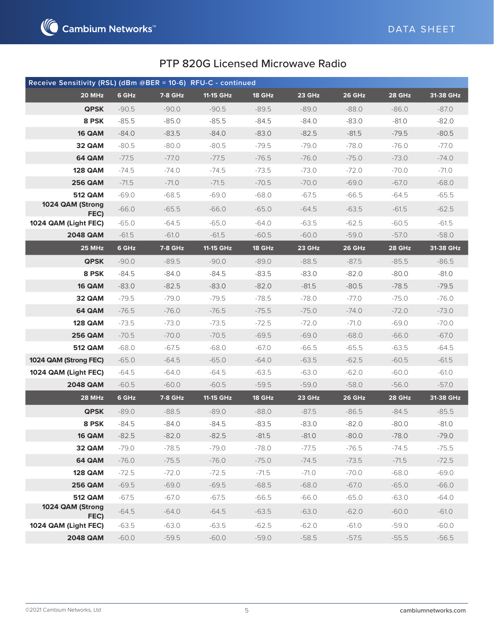

| Receive Sensitivity (RSL) (dBm @BER = 10-6) RFU-C - continued |         |                |           |               |         |               |               |           |
|---------------------------------------------------------------|---------|----------------|-----------|---------------|---------|---------------|---------------|-----------|
| 20 MHz                                                        | 6 GHz   | <b>7-8 GHz</b> | 11-15 GHz | <b>18 GHz</b> | 23 GHz  | 26 GHz        | 28 GHz        | 31-38 GHz |
| <b>QPSK</b>                                                   | $-90.5$ | $-90.0$        | $-90.5$   | $-89.5$       | $-89.0$ | $-88.0$       | $-86.0$       | $-87.0$   |
| 8 PSK                                                         | $-85.5$ | $-85.0$        | $-85.5$   | $-84.5$       | $-84.0$ | $-83.0$       | $-81.0$       | $-82.0$   |
| 16 QAM                                                        | $-84.0$ | $-83.5$        | $-84.0$   | $-83.0$       | $-82.5$ | $-81.5$       | $-79.5$       | $-80.5$   |
| 32 QAM                                                        | $-80.5$ | $-80.0$        | $-80.5$   | $-79.5$       | -79.0   | -78.0         | $-76.0$       | -77.0     |
| 64 QAM                                                        | $-77.5$ | $-77.0$        | $-77.5$   | $-76.5$       | $-76.0$ | $-75.0$       | $-73.0$       | $-74.0$   |
| <b>128 QAM</b>                                                | $-74.5$ | $-74.0$        | $-74.5$   | $-73.5$       | $-73.0$ | $-72.0$       | $-70.0$       | $-71.0$   |
| <b>256 QAM</b>                                                | $-71.5$ | $-71.0$        | $-71.5$   | $-70.5$       | $-70.0$ | $-69.0$       | $-67.0$       | $-68.0$   |
| <b>512 QAM</b>                                                | $-69.0$ | $-68.5$        | $-69.0$   | $-68.0$       | $-67.5$ | $-66.5$       | $-64.5$       | $-65.5$   |
| 1024 QAM (Strong<br>FEC)                                      | $-66.0$ | $-65.5$        | $-66.0$   | $-65.0$       | $-64.5$ | $-63.5$       | $-61.5$       | $-62.5$   |
| 1024 QAM (Light FEC)                                          | $-65.0$ | $-64.5$        | $-65.0$   | $-64.0$       | $-63.5$ | $-62.5$       | $-60.5$       | $-61.5$   |
| <b>2048 QAM</b>                                               | $-61.5$ | $-61.0$        | $-61.5$   | $-60.5$       | $-60.0$ | $-59.0$       | $-57.0$       | $-58.0$   |
| <b>25 MHz</b>                                                 | 6 GHz   | 7-8 GHz        | 11-15 GHz | 18 GHz        | 23 GHz  | <b>26 GHz</b> | <b>28 GHz</b> | 31-38 GHz |
| <b>QPSK</b>                                                   | $-90.0$ | $-89.5$        | $-90.0$   | $-89.0$       | $-88.5$ | $-87.5$       | $-85.5$       | $-86.5$   |
| 8 PSK                                                         | $-84.5$ | -84.0          | $-84.5$   | $-83.5$       | $-83.0$ | $-82.0$       | $-80.0$       | -81.0     |
| 16 QAM                                                        | $-83.0$ | $-82.5$        | $-83.0$   | $-82.0$       | $-81.5$ | $-80.5$       | $-78.5$       | $-79.5$   |
| 32 QAM                                                        | $-79.5$ | $-79.0$        | $-79.5$   | $-78.5$       | $-78.0$ | $-77.0$       | $-75.0$       | $-76.0$   |
| <b>64 QAM</b>                                                 | $-76.5$ | $-76.0$        | $-76.5$   | $-75.5$       | $-75.0$ | $-74.0$       | $-72.0$       | $-73.0$   |
| <b>128 QAM</b>                                                | $-73.5$ | $-73.0$        | $-73.5$   | $-72.5$       | $-72.0$ | -71.0         | $-69.0$       | $-70.0$   |
| <b>256 QAM</b>                                                | $-70.5$ | $-70.0$        | $-70.5$   | $-69.5$       | $-69.0$ | $-68.0$       | $-66.0$       | $-67.0$   |
| <b>512 QAM</b>                                                | $-68.0$ | $-67.5$        | $-68.0$   | $-67.0$       | $-66.5$ | $-65.5$       | $-63.5$       | $-64.5$   |
| 1024 QAM (Strong FEC)                                         | $-65.0$ | $-64.5$        | $-65.0$   | $-64.0$       | $-63.5$ | $-62.5$       | $-60.5$       | $-61.5$   |
| 1024 QAM (Light FEC)                                          | $-64.5$ | $-64.0$        | $-64.5$   | $-63.5$       | $-63.0$ | $-62.0$       | $-60.0$       | $-61.0$   |
| <b>2048 QAM</b>                                               | $-60.5$ | $-60.0$        | $-60.5$   | $-59.5$       | $-59.0$ | $-58.0$       | $-56.0$       | $-57.0$   |
| 28 MHz                                                        | 6 GHz   | <b>7-8 GHz</b> | 11-15 GHz | 18 GHz        | 23 GHz  | <b>26 GHz</b> | 28 GHz        | 31-38 GHz |
| <b>QPSK</b>                                                   | $-89.0$ | $-88.5$        | $-89.0$   | $-88.0$       | $-87.5$ | $-86.5$       | $-84.5$       | $-85.5$   |
| 8 PSK                                                         | $-84.5$ | $-84.0$        | $-84.5$   | $-83.5$       | $-83.0$ | $-82.0$       | $-80.0$       | $-81.0$   |
| 16 QAM                                                        | $-82.5$ | $-82.0$        | $-82.5$   | $-81.5$       | $-81.0$ | $-80.0$       | -78.0         | -79.0     |
| 32 QAM                                                        | $-79.0$ | $-78.5$        | $-79.0$   | $-78.0$       | $-77.5$ | $-76.5$       | $-74.5$       | $-75.5$   |
| 64 QAM                                                        | $-76.0$ | $-75.5$        | $-76.0$   | $-75.0$       | $-74.5$ | $-73.5$       | $-71.5$       | $-72.5$   |
| <b>128 QAM</b>                                                | $-72.5$ | $-72.0$        | $-72.5$   | $-71.5$       | $-71.0$ | $-70.0$       | $-68.0$       | $-69.0$   |
| <b>256 QAM</b>                                                | $-69.5$ | $-69.0$        | $-69.5$   | $-68.5$       | $-68.0$ | $-67.0$       | $-65.0$       | $-66.0$   |
| <b>512 QAM</b>                                                | $-67.5$ | $-67.0$        | $-67.5$   | $-66.5$       | $-66.0$ | $-65.0$       | $-63.0$       | $-64.0$   |
| 1024 QAM (Strong<br>FEC)                                      | $-64.5$ | $-64.0$        | $-64.5$   | $-63.5$       | $-63.0$ | $-62.0$       | $-60.0$       | $-61.0$   |
| 1024 QAM (Light FEC)                                          | $-63.5$ | $-63.0$        | $-63.5$   | $-62.5$       | $-62.0$ | $-61.0$       | $-59.0$       | $-60.0$   |
| <b>2048 QAM</b>                                               | $-60.0$ | $-59.5$        | $-60.0$   | $-59.0$       | $-58.5$ | $-57.5$       | $-55.5$       | $-56.5$   |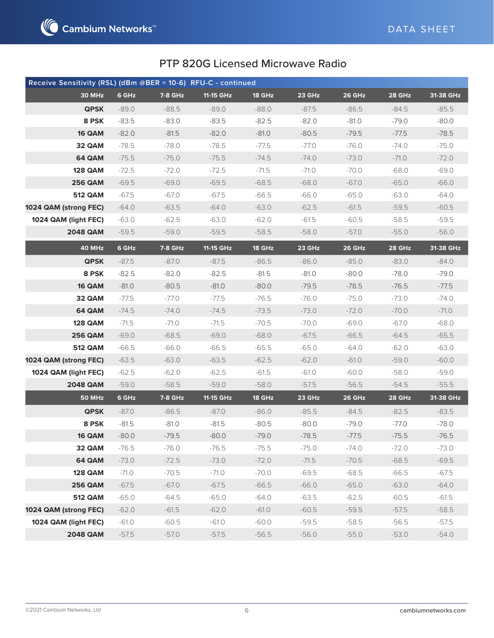

| Receive Sensitivity (RSL) (dBm @BER = 10-6) RFU-C - continued |         |                |           |               |         |               |         |             |
|---------------------------------------------------------------|---------|----------------|-----------|---------------|---------|---------------|---------|-------------|
| 30 MHz                                                        | 6 GHz   | 7-8 GHz        | 11-15 GHz | <b>18 GHz</b> | 23 GHz  | 26 GHz        | 28 GHz  | $31-38$ GHz |
| <b>QPSK</b>                                                   | $-89.0$ | $-88.5$        | $-89.0$   | $-88.0$       | $-87.5$ | $-86.5$       | $-84.5$ | $-85.5$     |
| 8 PSK                                                         | $-83.5$ | $-83.0$        | $-83.5$   | $-82.5$       | $-82.0$ | $-81.0$       | $-79.0$ | $-80.0$     |
| 16 QAM                                                        | $-82.0$ | $-81.5$        | $-82.0$   | $-81.0$       | $-80.5$ | $-79.5$       | $-77.5$ | $-78.5$     |
| 32 QAM                                                        | $-78.5$ | -78.0          | $-78.5$   | $-77.5$       | $-77.0$ | $-76.0$       | $-74.0$ | $-75.0$     |
| 64 QAM                                                        | $-75.5$ | $-75.0$        | $-75.5$   | $-74.5$       | $-74.0$ | $-73.0$       | $-71.0$ | $-72.0$     |
| <b>128 QAM</b>                                                | $-72.5$ | $-72.0$        | $-72.5$   | $-71.5$       | $-71.0$ | $-70.0$       | $-68.0$ | $-69.0$     |
| <b>256 QAM</b>                                                | $-69.5$ | $-69.0$        | $-69.5$   | $-68.5$       | $-68.0$ | $-67.0$       | $-65.0$ | $-66.0$     |
| <b>512 QAM</b>                                                | $-67.5$ | -67.0          | $-67.5$   | $-66.5$       | $-66.0$ | $-65.0$       | $-63.0$ | $-64.0$     |
| 1024 QAM (strong FEC)                                         | $-64.0$ | $-63.5$        | -64.0     | $-63.0$       | $-62.5$ | $-61.5$       | $-59.5$ | $-60.5$     |
| 1024 QAM (light FEC)                                          | $-63.0$ | $-62.5$        | $-63.0$   | $-62.0$       | $-61.5$ | $-60.5$       | $-58.5$ | $-59.5$     |
| <b>2048 QAM</b>                                               | $-59.5$ | $-59.0$        | $-59.5$   | $-58.5$       | $-58.0$ | $-57.0$       | $-55.0$ | $-56.0$     |
| 40 MHz                                                        | 6 GHz   | <b>7-8 GHz</b> | 11-15 GHz | 18 GHz        | 23 GHz  | <b>26 GHz</b> | 28 GHz  | 31-38 GHz   |
| <b>QPSK</b>                                                   | $-87.5$ | $-87.0$        | $-87.5$   | $-86.5$       | $-86.0$ | $-85.0$       | $-83.0$ | $-84.0$     |
| 8 PSK                                                         | $-82.5$ | $-82.0$        | $-82.5$   | $-81.5$       | $-81.0$ | $-80.0$       | $-78.0$ | $-79.0$     |
| 16 QAM                                                        | $-81.0$ | $-80.5$        | $-81.0$   | $-80.0$       | $-79.5$ | $-78.5$       | $-76.5$ | $-77.5$     |
| 32 QAM                                                        | $-77.5$ | -77.0          | $-77.5$   | $-76.5$       | $-76.0$ | $-75.0$       | $-73.0$ | $-74.0$     |
| 64 QAM                                                        | $-74.5$ | $-74.0$        | $-74.5$   | $-73.5$       | $-73.0$ | $-72.0$       | $-70.0$ | $-71.0$     |
| <b>128 QAM</b>                                                | $-71.5$ | -71.0          | $-71.5$   | $-70.5$       | $-70.0$ | $-69.0$       | $-67.0$ | $-68.0$     |
| <b>256 QAM</b>                                                | $-69.0$ | $-68.5$        | $-69.0$   | $-68.0$       | $-67.5$ | $-66.5$       | $-64.5$ | $-65.5$     |
| <b>512 QAM</b>                                                | $-66.5$ | $-66.0$        | $-66.5$   | $-65.5$       | $-65.0$ | $-64.0$       | $-62.0$ | $-63.0$     |
| 1024 QAM (strong FEC)                                         | $-63.5$ | $-63.0$        | $-63.5$   | $-62.5$       | $-62.0$ | $-61.0$       | $-59.0$ | $-60.0$     |
| 1024 QAM (light FEC)                                          | $-62.5$ | -62.0          | $-62.5$   | $-61.5$       | $-61.0$ | $-60.0$       | $-58.0$ | $-59.0$     |
| <b>2048 QAM</b>                                               | $-59.0$ | $-58.5$        | $-59.0$   | $-58.0$       | $-57.5$ | $-56.5$       | $-54.5$ | $-55.5$     |
| <b>50 MHz</b>                                                 | 6 GHz   | 7-8 GHz        | 11-15 GHz | 18 GHz        | 23 GHz  | <b>26 GHz</b> | 28 GHz  | 31-38 GHz   |
| <b>QPSK</b>                                                   | $-87.0$ | $-86.5$        | $-87.0$   | $-86.0$       | $-85.5$ | $-84.5$       | $-82.5$ | $-83.5$     |
| 8 PSK                                                         | $-81.5$ | $-81.0$        | $-81.5$   | $-80.5$       | $-80.0$ | $-79.0$       | -77.0   | $-78.0$     |
| <b>16 QAM</b>                                                 | $-80.0$ | $-79.5$        | $-80.0$   | $-79.0$       | $-78.5$ | $-77.5$       | $-75.5$ | $-76.5$     |
| 32 QAM                                                        | $-76.5$ | $-76.0$        | $-76.5$   | $-75.5$       | $-75.0$ | $-74.0$       | $-72.0$ | $-73.0$     |
| 64 QAM                                                        | $-73.0$ | $-72.5$        | $-73.0$   | $-72.0$       | $-71.5$ | $-70.5$       | $-68.5$ | $-69.5$     |
| <b>128 QAM</b>                                                | $-71.0$ | $-70.5$        | $-71.0$   | $-70.0$       | $-69.5$ | $-68.5$       | $-66.5$ | $-67.5$     |
| <b>256 QAM</b>                                                | $-67.5$ | $-67.0$        | $-67.5$   | $-66.5$       | $-66.0$ | $-65.0$       | $-63.0$ | $-64.0$     |
| <b>512 QAM</b>                                                | $-65.0$ | $-64.5$        | $-65.0$   | $-64.0$       | $-63.5$ | $-62.5$       | $-60.5$ | $-61.5$     |
| 1024 QAM (strong FEC)                                         | $-62.0$ | $-61.5$        | $-62.0$   | $-61.0$       | $-60.5$ | $-59.5$       | $-57.5$ | $-58.5$     |
| 1024 QAM (light FEC)                                          | $-61.0$ | $-60.5$        | $-61.0$   | $-60.0$       | $-59.5$ | $-58.5$       | $-56.5$ | $-57.5$     |
| <b>2048 QAM</b>                                               | $-57.5$ | $-57.0$        | $-57.5$   | $-56.5$       | $-56.0$ | $-55.0$       | $-53.0$ | $-54.0$     |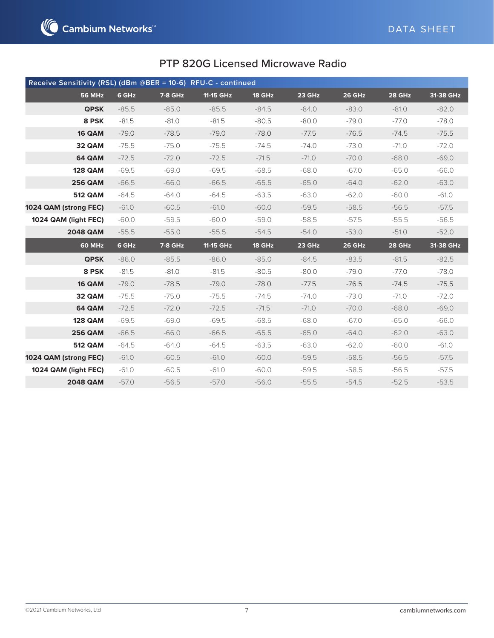

| Receive Sensitivity (RSL) (dBm @BER = 10-6) RFU-C - continued |         |                |           |         |         |               |         |           |
|---------------------------------------------------------------|---------|----------------|-----------|---------|---------|---------------|---------|-----------|
| <b>56 MHz</b>                                                 | 6 GHz   | 7-8 GHz        | 11-15 GHz | 18 GHz  | 23 GHz  | <b>26 GHz</b> | 28 GHz  | 31-38 GHz |
| <b>QPSK</b>                                                   | $-85.5$ | $-85.0$        | $-85.5$   | $-84.5$ | $-84.0$ | $-83.0$       | $-81.0$ | $-82.0$   |
| 8 PSK                                                         | $-81.5$ | $-81.0$        | $-81.5$   | $-80.5$ | $-80.0$ | $-79.0$       | $-77.0$ | $-78.0$   |
| 16 QAM                                                        | $-79.0$ | $-78.5$        | $-79.0$   | $-78.0$ | $-77.5$ | $-76.5$       | $-74.5$ | $-75.5$   |
| 32 QAM                                                        | $-75.5$ | $-75.0$        | $-75.5$   | $-74.5$ | $-74.0$ | $-73.0$       | $-71.0$ | $-72.0$   |
| <b>64 QAM</b>                                                 | $-72.5$ | $-72.0$        | $-72.5$   | $-71.5$ | $-71.0$ | $-70.0$       | $-68.0$ | $-69.0$   |
| <b>128 QAM</b>                                                | $-69.5$ | $-69.0$        | $-69.5$   | $-68.5$ | $-68.0$ | $-67.0$       | $-65.0$ | $-66.0$   |
| <b>256 QAM</b>                                                | $-66.5$ | $-66.0$        | $-66.5$   | $-65.5$ | $-65.0$ | $-64.0$       | $-62.0$ | $-63.0$   |
| <b>512 QAM</b>                                                | $-64.5$ | $-64.0$        | $-64.5$   | $-63.5$ | $-63.0$ | $-62.0$       | $-60.0$ | $-61.0$   |
| 1024 QAM (strong FEC)                                         | $-61.0$ | $-60.5$        | $-61.0$   | $-60.0$ | $-59.5$ | $-58.5$       | $-56.5$ | $-57.5$   |
| 1024 QAM (light FEC)                                          | $-60.0$ | $-59.5$        | $-60.0$   | $-59.0$ | $-58.5$ | $-57.5$       | $-55.5$ | $-56.5$   |
| <b>2048 QAM</b>                                               | $-55.5$ | $-55.0$        | $-55.5$   | $-54.5$ | $-54.0$ | $-53.0$       | $-51.0$ | $-52.0$   |
| 60 MHz                                                        | 6 GHz   | <b>7-8 GHz</b> | 11-15 GHz | 18 GHz  | 23 GHz  | 26 GHz        | 28 GHz  | 31-38 GHz |
| <b>QPSK</b>                                                   | $-86.0$ | $-85.5$        | $-86.0$   | $-85.0$ | $-84.5$ | $-83.5$       | $-81.5$ | $-82.5$   |
| 8 PSK                                                         | $-81.5$ | $-81.0$        | $-81.5$   | $-80.5$ | $-80.0$ | $-79.0$       | $-77.0$ | $-78.0$   |
| 16 QAM                                                        | $-79.0$ | $-78.5$        | $-79.0$   | $-78.0$ | $-77.5$ | $-76.5$       | $-74.5$ | $-75.5$   |
| 32 QAM                                                        | $-75.5$ | $-75.0$        | $-75.5$   | $-74.5$ | $-74.0$ | $-73.0$       | $-71.0$ | $-72.0$   |
| <b>64 QAM</b>                                                 | $-72.5$ | $-72.0$        | $-72.5$   | $-71.5$ | $-71.0$ | $-70.0$       | $-68.0$ | $-69.0$   |
| <b>128 QAM</b>                                                | $-69.5$ | $-69.0$        | $-69.5$   | $-68.5$ | $-68.0$ | $-67.0$       | $-65.0$ | $-66.0$   |
| <b>256 QAM</b>                                                | $-66.5$ | $-66.0$        | $-66.5$   | $-65.5$ | $-65.0$ | $-64.0$       | $-62.0$ | $-63.0$   |
| <b>512 QAM</b>                                                | $-64.5$ | $-64.0$        | $-64.5$   | $-63.5$ | $-63.0$ | $-62.0$       | $-60.0$ | $-61.0$   |
| 1024 QAM (strong FEC)                                         | $-61.0$ | $-60.5$        | $-61.0$   | $-60.0$ | $-59.5$ | $-58.5$       | $-56.5$ | $-57.5$   |
| 1024 QAM (light FEC)                                          | $-61.0$ | $-60.5$        | $-61.0$   | $-60.0$ | $-59.5$ | $-58.5$       | $-56.5$ | $-57.5$   |
| <b>2048 QAM</b>                                               | $-57.0$ | $-56.5$        | $-57.0$   | $-56.0$ | $-55.5$ | $-54.5$       | $-52.5$ | $-53.5$   |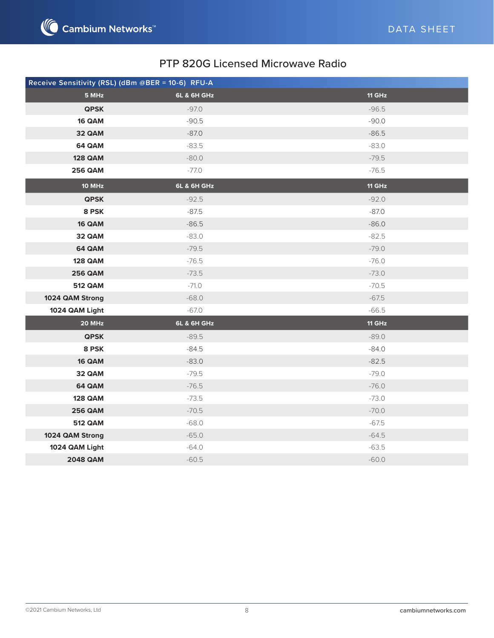

|                 | Receive Sensitivity (RSL) (dBm @BER = 10-6) RFU-A |               |
|-----------------|---------------------------------------------------|---------------|
| 5 MHz           | <b>6L &amp; 6H GHz</b>                            | <b>11 GHz</b> |
| <b>QPSK</b>     | $-97.0$                                           | $-96.5$       |
| 16 QAM          | $-90.5$                                           | $-90.0$       |
| 32 QAM          | $-87.0$                                           | $-86.5$       |
| 64 QAM          | $-83.5$                                           | $-83.0$       |
| <b>128 QAM</b>  | $-80.0$                                           | $-79.5$       |
| <b>256 QAM</b>  | $-77.0$                                           | $-76.5$       |
| 10 MHz          | 6L & 6H GHz                                       | <b>11 GHz</b> |
| <b>QPSK</b>     | $-92.5$                                           | $-92.0$       |
| 8 PSK           | $-87.5$                                           | $-87.0$       |
| 16 QAM          | $-86.5$                                           | $-86.0$       |
| 32 QAM          | $-83.0$                                           | $-82.5$       |
| 64 QAM          | $-79.5$                                           | $-79.0$       |
| <b>128 QAM</b>  | $-76.5$                                           | $-76.0$       |
| <b>256 QAM</b>  | $-73.5$                                           | $-73.0$       |
| <b>512 QAM</b>  | $-71.0$                                           | $-70.5$       |
| 1024 QAM Strong | $-68.0$                                           | $-67.5$       |
| 1024 QAM Light  | $-67.0$                                           | $-66.5$       |
| 20 MHz          | 6L & 6H GHz                                       | $11$ GHz      |
| <b>QPSK</b>     | $-89.5$                                           | $-89.0$       |
| 8 PSK           | $-84.5$                                           | $-84.0$       |
| 16 QAM          | $-83.0$                                           | $-82.5$       |
| 32 QAM          | $-79.5$                                           | $-79.0$       |
| 64 QAM          | $-76.5$                                           | $-76.0$       |
| <b>128 QAM</b>  | $-73.5$                                           | $-73.0$       |
| <b>256 QAM</b>  | $-70.5$                                           | $-70.0$       |
| <b>512 QAM</b>  | $-68.0$                                           | $-67.5$       |
| 1024 QAM Strong | $-65.0$                                           | $-64.5$       |
| 1024 QAM Light  | $-64.0$                                           | $-63.5$       |
| <b>2048 QAM</b> | $-60.5$                                           | $-60.0$       |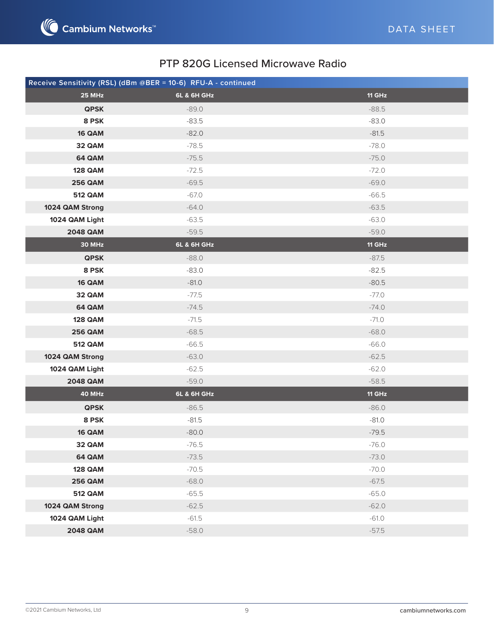

|                 | Receive Sensitivity (RSL) (dBm @BER = 10-6) RFU-A - continued |               |
|-----------------|---------------------------------------------------------------|---------------|
| 25 MHz          | <b>6L &amp; 6H GHz</b>                                        | <b>11 GHz</b> |
| <b>QPSK</b>     | $-89.0$                                                       | $-88.5$       |
| 8 PSK           | $-83.5$                                                       | $-83.0$       |
| 16 QAM          | $-82.0$                                                       | $-81.5$       |
| 32 QAM          | $-78.5$                                                       | $-78.0$       |
| 64 QAM          | $-75.5$                                                       | $-75.0$       |
| <b>128 QAM</b>  | $-72.5$                                                       | $-72.0$       |
| <b>256 QAM</b>  | $-69.5$                                                       | $-69.0$       |
| <b>512 QAM</b>  | -67.0                                                         | $-66.5$       |
| 1024 QAM Strong | $-64.0$                                                       | $-63.5$       |
| 1024 QAM Light  | $-63.5$                                                       | $-63.0$       |
| <b>2048 QAM</b> | $-59.5$                                                       | $-59.0$       |
| 30 MHz          | <b>6L &amp; 6H GHz</b>                                        | <b>11 GHz</b> |
| <b>QPSK</b>     | $-88.0$                                                       | $-87.5$       |
| 8 PSK           | $-83.0$                                                       | $-82.5$       |
| 16 QAM          | $-81.0$                                                       | $-80.5$       |
| 32 QAM          | $-77.5$                                                       | $-77.0$       |
| 64 QAM          | $-74.5$                                                       | $-74.0$       |
| <b>128 QAM</b>  | $-71.5$                                                       | $-71.0$       |
| <b>256 QAM</b>  | $-68.5$                                                       | $-68.0$       |
| <b>512 QAM</b>  | $-66.5$                                                       | $-66.0$       |
| 1024 QAM Strong | $-63.0$                                                       | $-62.5$       |
| 1024 QAM Light  | $-62.5$                                                       | $-62.0$       |
| <b>2048 QAM</b> | $-59.0$                                                       | $-58.5$       |
| 40 MHz          | 6L & 6H GHz                                                   | <b>11 GHz</b> |
| <b>QPSK</b>     | $-86.5$                                                       | $-86.0$       |
| 8 PSK           | $-81.5$                                                       | $-81.0$       |
| <b>16 QAM</b>   | $-80.0$                                                       | $-79.5$       |
| 32 QAM          | $-76.5$                                                       | $-76.0$       |
| 64 QAM          | $-73.5$                                                       | $-73.0$       |
| <b>128 QAM</b>  | $-70.5$                                                       | $-70.0$       |
| <b>256 QAM</b>  | $-68.0$                                                       | $-67.5$       |
| <b>512 QAM</b>  | $-65.5$                                                       | $-65.0$       |
| 1024 QAM Strong | $-62.5$                                                       | $-62.0$       |
| 1024 QAM Light  | $-61.5$                                                       | $-61.0$       |
| <b>2048 QAM</b> | $-58.0$                                                       | $-57.5$       |